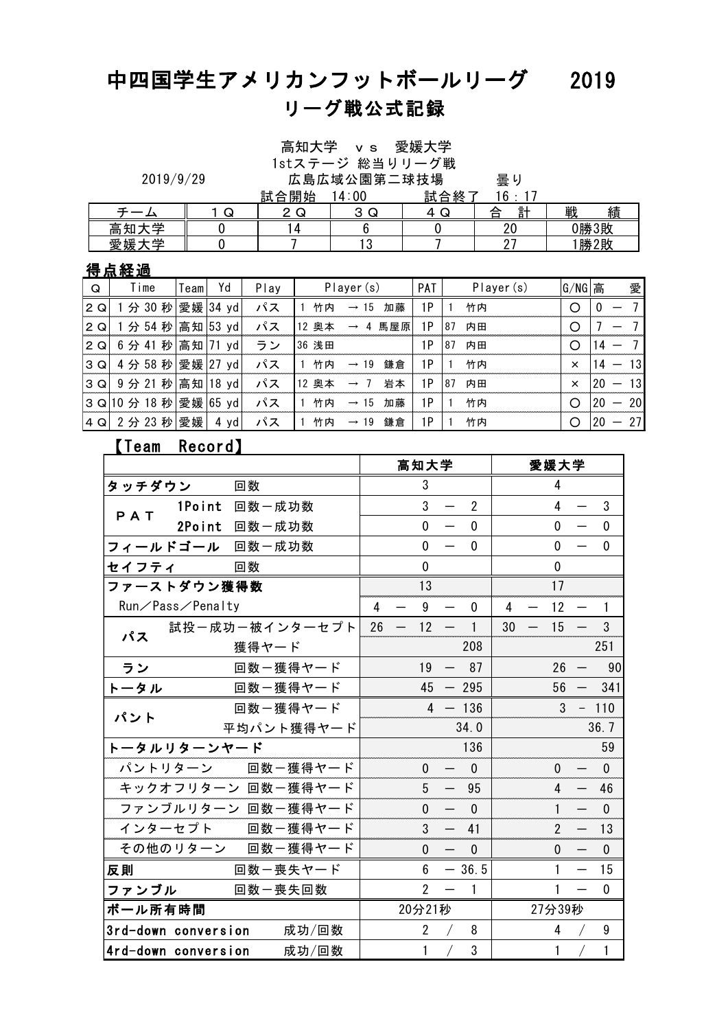# 中四国学生アメリカンフットボールリーグ 2019 リーグ戦公式記録

高知大学 vs 愛媛大学

| 高知大学 vs 愛媛大学<br>1stステージ 総当りリーグ戦 |      |               |  |
|---------------------------------|------|---------------|--|
| 広島広域公園第二球技場                     |      | 量り            |  |
| 試合開始 14:00                      | 試合終了 | $16 \cdot 17$ |  |

|   | 2019/9/29                                                                                                                                                                                                                                                                                                                                                                            |             |    |        | 咼知大字 vs 愛媛大字<br>1stステージ 総当りリーグ戦             |           |     |                |  |           |  |        |      |   |
|---|--------------------------------------------------------------------------------------------------------------------------------------------------------------------------------------------------------------------------------------------------------------------------------------------------------------------------------------------------------------------------------------|-------------|----|--------|---------------------------------------------|-----------|-----|----------------|--|-----------|--|--------|------|---|
|   |                                                                                                                                                                                                                                                                                                                                                                                      |             |    |        | 広島広域公園第二球技場<br>試合終了<br><u>試合開始</u><br>14:00 |           |     |                |  |           |  |        |      |   |
|   |                                                                                                                                                                                                                                                                                                                                                                                      |             |    |        |                                             |           |     |                |  | 16        |  |        |      |   |
|   |                                                                                                                                                                                                                                                                                                                                                                                      | $\mathbf Q$ |    |        | 2Q                                          |           |     | 4Q             |  | 計         |  | 戦      | 績    |   |
|   | 高知大学                                                                                                                                                                                                                                                                                                                                                                                 |             |    |        | 4                                           |           |     |                |  | 20        |  |        | 0勝3敗 |   |
|   | 愛媛大学                                                                                                                                                                                                                                                                                                                                                                                 |             |    |        |                                             |           | 13  |                |  | 27        |  | 1勝2敗   |      |   |
|   | 得点経過                                                                                                                                                                                                                                                                                                                                                                                 |             |    |        |                                             |           |     |                |  |           |  |        |      |   |
| Q | Time                                                                                                                                                                                                                                                                                                                                                                                 | Team        | Yd | Play   |                                             | Player(s) |     | PAT            |  | Player(s) |  | G/NG 高 |      | 愛 |
|   | $\overline{1}$ $\overline{1}$ $\overline{1}$ $\overline{1}$ $\overline{1}$ $\overline{1}$ $\overline{1}$ $\overline{1}$ $\overline{1}$ $\overline{1}$ $\overline{1}$ $\overline{1}$ $\overline{1}$ $\overline{1}$ $\overline{1}$ $\overline{1}$ $\overline{1}$ $\overline{1}$ $\overline{1}$ $\overline{1}$ $\overline{1}$ $\overline{1}$ $\overline{1}$ $\overline{1}$ $\overline{$ | $    -$     |    | $\sim$ | .                                           |           | . . | $\overline{1}$ |  | .         |  | $\sim$ |      |   |

## 得点経過

|     | 愛媛大学               |      | 0          |      |          |                  | 13       |     | 27 |            |          | 勝2敗 |    |
|-----|--------------------|------|------------|------|----------|------------------|----------|-----|----|------------|----------|-----|----|
|     | 得点経過               |      |            |      |          |                  |          |     |    |            |          |     |    |
| Q   | Time               | Team | Yd         | Play |          | Player(s)        |          | PAT |    | Player (s) | G/NG 高   |     | 愛  |
| 2Q  | 秒<br>分 30          |      | 愛媛   34 yd | パス   | 竹内       | $\rightarrow$    | 15<br>加藤 | 1P  |    | 竹内         | ∩        |     |    |
| 2 Q | 分 54 秒             |      | 高知 53 yd   | パス   | 奥本<br>12 |                  | 馬屋原<br>4 | 1P  | 87 | 内田         | ∩        |     |    |
| 2Q  | 6分41               | 秒高知  | 71<br>yd   | ラン   | 36 浅田    |                  |          | 1P  | 87 | 内田         | ∩        |     |    |
| 3Q  | 4 分 58 秒 愛媛 27 yd  |      |            | パス   | 竹内       | $\rightarrow$    | 鎌倉<br>19 | 1P  |    | 竹内         | ×        |     | 13 |
| 3Q  | 9分 21 秒 高知         |      | $18$ yd    | パス   | 12 奥本    | $\rightarrow$ 7  | 岩本       | 1P  | 87 | 内田         | $\times$ | 20  | 13 |
| 3Q  | 10 分 18 秒 愛媛 65 yd |      |            | パス   | 竹内       | $\rightarrow$    | 15<br>加藤 | 1P  |    | 竹内         | O        | 20  | 20 |
| 4Q  | 2分 23 秒 愛媛         |      | 4 yd       | パス   | 竹内       | $\rightarrow$ 19 | 鎌倉       | 1P  |    | 竹内         | ∩        | 20  | 27 |
|     | [Team              |      | Record】    |      |          |                  |          |     |    |            |          |     |    |
|     | 恶怪十学<br>宣知士学       |      |            |      |          |                  |          |     |    |            |          |     |    |

|                     |                  |          | J  Z ゚カ゚ Z3 イ抄 宴媛  4 y0  ノヽノヽ  l 11lM ⇒ l9 球启 |    |                          |                 |                          |                |    |                          |                | ◡                        | $120 -$      |
|---------------------|------------------|----------|-----------------------------------------------|----|--------------------------|-----------------|--------------------------|----------------|----|--------------------------|----------------|--------------------------|--------------|
|                     | 【Team Record】    |          |                                               |    |                          |                 |                          |                |    |                          |                |                          |              |
|                     |                  |          |                                               |    |                          | 高知大学            |                          |                |    |                          | 愛媛大学           |                          |              |
| タッチダウン              |                  | 回数       |                                               |    |                          | 3               |                          |                |    |                          | 4              |                          |              |
| PAT                 | 1Point 回数一成功数    |          |                                               |    |                          | $\overline{3}$  | $\overline{\phantom{m}}$ | $\overline{2}$ |    |                          | $\overline{4}$ | $\frac{1}{1}$            | 3            |
|                     | 2Point 回数一成功数    |          |                                               |    |                          | $\mathbf{0}$    | $\overline{\phantom{0}}$ | $\Omega$       |    |                          | $\Omega$       |                          | $\mathbf{0}$ |
|                     | フィールドゴール 回数一成功数  |          |                                               |    |                          | $\mathbf 0$     | $\overline{\phantom{m}}$ | $\mathbf 0$    |    |                          | $\mathbf 0$    |                          | $\mathbf 0$  |
| セイフティ               |                  | 回数       |                                               |    |                          | $\mathbf 0$     |                          |                |    |                          | $\mathbf{0}$   |                          |              |
|                     | ファーストダウン獲得数      |          |                                               |    |                          | 13              |                          |                |    |                          | 17             |                          |              |
|                     | Run∕Pass⁄Penalty |          |                                               | 4  |                          | 9               |                          | $\mathbf{0}$   | 4  |                          | 12             |                          | $\mathbf{1}$ |
| パス                  |                  |          | 試投ー成功ー被インターセプト                                | 26 | $\overline{\phantom{m}}$ | 12 <sup>2</sup> | $\overline{\phantom{m}}$ | 1              | 30 | $\overline{\phantom{m}}$ | 15             | $\qquad \qquad -$        | 3            |
|                     |                  | 獲得ヤード    |                                               |    |                          |                 |                          | 208            |    |                          |                |                          | 251          |
| ラン                  |                  | 回数ー獲得ヤード |                                               |    |                          | 19              | $-$                      | 87             |    |                          | 26             | —                        | 90           |
| トータル                |                  | 回数ー獲得ヤード |                                               |    |                          |                 | $45 - 295$               |                |    |                          | 56             |                          | $-341$       |
| パント                 |                  | 回数ー獲得ヤード |                                               |    |                          |                 |                          | $4 - 136$      |    |                          | $\overline{3}$ |                          | $-110$       |
|                     |                  |          | 平均パント獲得ヤード                                    |    |                          |                 |                          | 34.0           |    |                          |                |                          | 36.7         |
|                     | トータルリターンヤード      |          |                                               |    |                          |                 |                          | 136            |    |                          |                |                          | 59           |
|                     |                  |          | パントリターン 回数一獲得ヤード                              |    |                          | $\mathbf{0}$    |                          | $\mathbf{0}$   |    |                          | $\mathbf{0}$   |                          | $\mathbf{0}$ |
|                     |                  |          | キックオフリターン 回数一獲得ヤード                            |    |                          | 5               | $\qquad \qquad -$        | 95             |    |                          | $\overline{4}$ |                          | 46           |
|                     |                  |          | ファンブルリターン 回数一獲得ヤード                            |    |                          | $\mathbf{0}$    |                          | $\mathbf{0}$   |    |                          | $\mathbf{1}$   |                          | $\mathbf 0$  |
|                     |                  |          | インターセプト 回数一獲得ヤード                              |    |                          | $\mathbf{3}$    | $\overline{\phantom{m}}$ | 41             |    |                          | $\mathfrak{p}$ | $\qquad \qquad -$        | 13           |
|                     |                  |          | その他のリターン 回数一獲得ヤード                             |    |                          | $\mathbf 0$     | $\overline{\phantom{m}}$ | $\overline{0}$ |    |                          | $\mathbf{0}$   | $\overline{\phantom{m}}$ | $\mathbf 0$  |
| 反則                  |                  | 回数ー喪失ヤード |                                               |    |                          | $6\phantom{.}$  |                          | $-36.5$        |    |                          | $\mathbf{1}$   |                          | 15           |
| ファンブル               |                  | 回数一喪失回数  |                                               |    |                          | $\overline{2}$  |                          | $\mathbf{1}$   |    |                          | 1              |                          | $\mathbf 0$  |
| ボール所有時間             |                  |          |                                               |    |                          | 20分21秒          |                          |                |    |                          | 27分39秒         |                          |              |
| 3rd-down conversion |                  |          | 成功/回数                                         |    |                          | $\overline{2}$  | $\sqrt{2}$               | 8              |    |                          | 4              |                          | 9            |
| 4rd-down conversion |                  |          | 成功/回数                                         |    |                          | 1               |                          | $\mathfrak{S}$ |    |                          | 1              |                          | $\mathbf{1}$ |